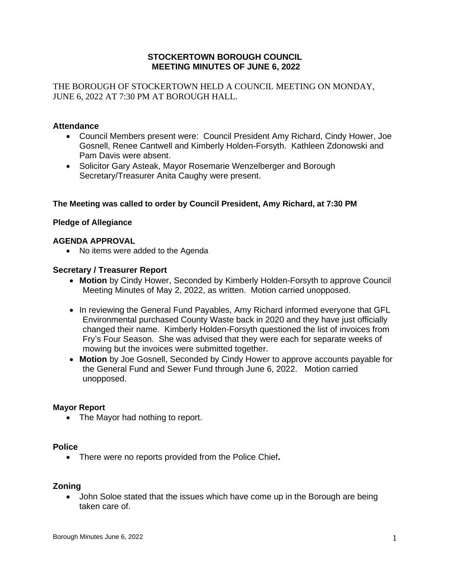## **STOCKERTOWN BOROUGH COUNCIL MEETING MINUTES OF JUNE 6, 2022**

THE BOROUGH OF STOCKERTOWN HELD A COUNCIL MEETING ON MONDAY, JUNE 6, 2022 AT 7:30 PM AT BOROUGH HALL.

### **Attendance**

- Council Members present were: Council President Amy Richard, Cindy Hower, Joe Gosnell, Renee Cantwell and Kimberly Holden-Forsyth. Kathleen Zdonowski and Pam Davis were absent.
- Solicitor Gary Asteak, Mayor Rosemarie Wenzelberger and Borough Secretary/Treasurer Anita Caughy were present.

#### **The Meeting was called to order by Council President, Amy Richard, at 7:30 PM**

#### **Pledge of Allegiance**

#### **AGENDA APPROVAL**

• No items were added to the Agenda

#### **Secretary / Treasurer Report**

- **Motion** by Cindy Hower, Seconded by Kimberly Holden-Forsyth to approve Council Meeting Minutes of May 2, 2022, as written. Motion carried unopposed.
- In reviewing the General Fund Payables, Amy Richard informed everyone that GFL Environmental purchased County Waste back in 2020 and they have just officially changed their name. Kimberly Holden-Forsyth questioned the list of invoices from Fry's Four Season. She was advised that they were each for separate weeks of mowing but the invoices were submitted together.
- **Motion** by Joe Gosnell, Seconded by Cindy Hower to approve accounts payable for the General Fund and Sewer Fund through June 6, 2022. Motion carried unopposed.

#### **Mayor Report**

• The Mayor had nothing to report.

#### **Police**

• There were no reports provided from the Police Chief**.**

#### **Zoning**

• John Soloe stated that the issues which have come up in the Borough are being taken care of.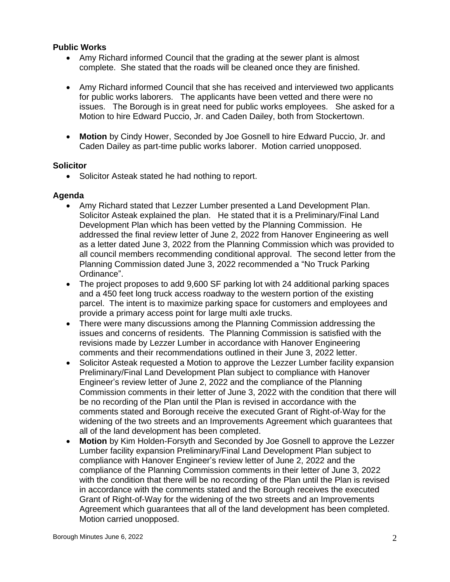# **Public Works**

- Amy Richard informed Council that the grading at the sewer plant is almost complete. She stated that the roads will be cleaned once they are finished.
- Amy Richard informed Council that she has received and interviewed two applicants for public works laborers. The applicants have been vetted and there were no issues. The Borough is in great need for public works employees. She asked for a Motion to hire Edward Puccio, Jr. and Caden Dailey, both from Stockertown.
- **Motion** by Cindy Hower, Seconded by Joe Gosnell to hire Edward Puccio, Jr. and Caden Dailey as part-time public works laborer. Motion carried unopposed.

## **Solicitor**

• Solicitor Asteak stated he had nothing to report.

# **Agenda**

- Amy Richard stated that Lezzer Lumber presented a Land Development Plan. Solicitor Asteak explained the plan. He stated that it is a Preliminary/Final Land Development Plan which has been vetted by the Planning Commission. He addressed the final review letter of June 2, 2022 from Hanover Engineering as well as a letter dated June 3, 2022 from the Planning Commission which was provided to all council members recommending conditional approval. The second letter from the Planning Commission dated June 3, 2022 recommended a "No Truck Parking Ordinance".
- The project proposes to add 9,600 SF parking lot with 24 additional parking spaces and a 450 feet long truck access roadway to the western portion of the existing parcel. The intent is to maximize parking space for customers and employees and provide a primary access point for large multi axle trucks.
- There were many discussions among the Planning Commission addressing the issues and concerns of residents. The Planning Commission is satisfied with the revisions made by Lezzer Lumber in accordance with Hanover Engineering comments and their recommendations outlined in their June 3, 2022 letter.
- Solicitor Asteak requested a Motion to approve the Lezzer Lumber facility expansion Preliminary/Final Land Development Plan subject to compliance with Hanover Engineer's review letter of June 2, 2022 and the compliance of the Planning Commission comments in their letter of June 3, 2022 with the condition that there will be no recording of the Plan until the Plan is revised in accordance with the comments stated and Borough receive the executed Grant of Right-of-Way for the widening of the two streets and an Improvements Agreement which guarantees that all of the land development has been completed.
- **Motion** by Kim Holden-Forsyth and Seconded by Joe Gosnell to approve the Lezzer Lumber facility expansion Preliminary/Final Land Development Plan subject to compliance with Hanover Engineer's review letter of June 2, 2022 and the compliance of the Planning Commission comments in their letter of June 3, 2022 with the condition that there will be no recording of the Plan until the Plan is revised in accordance with the comments stated and the Borough receives the executed Grant of Right-of-Way for the widening of the two streets and an Improvements Agreement which guarantees that all of the land development has been completed. Motion carried unopposed.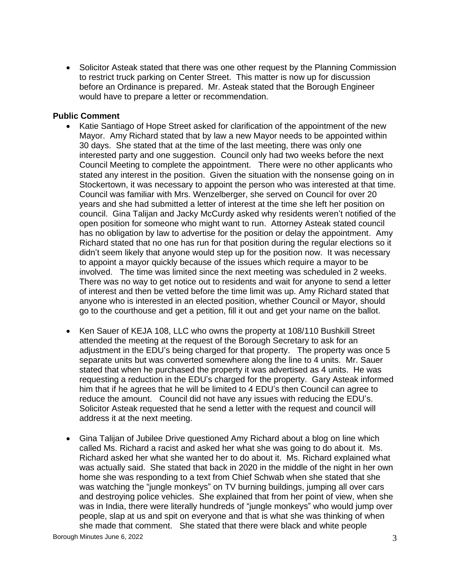• Solicitor Asteak stated that there was one other request by the Planning Commission to restrict truck parking on Center Street. This matter is now up for discussion before an Ordinance is prepared. Mr. Asteak stated that the Borough Engineer would have to prepare a letter or recommendation.

### **Public Comment**

- Katie Santiago of Hope Street asked for clarification of the appointment of the new Mayor. Amy Richard stated that by law a new Mayor needs to be appointed within 30 days. She stated that at the time of the last meeting, there was only one interested party and one suggestion. Council only had two weeks before the next Council Meeting to complete the appointment. There were no other applicants who stated any interest in the position. Given the situation with the nonsense going on in Stockertown, it was necessary to appoint the person who was interested at that time. Council was familiar with Mrs. Wenzelberger, she served on Council for over 20 years and she had submitted a letter of interest at the time she left her position on council. Gina Talijan and Jacky McCurdy asked why residents weren't notified of the open position for someone who might want to run. Attorney Asteak stated council has no obligation by law to advertise for the position or delay the appointment. Amy Richard stated that no one has run for that position during the regular elections so it didn't seem likely that anyone would step up for the position now. It was necessary to appoint a mayor quickly because of the issues which require a mayor to be involved. The time was limited since the next meeting was scheduled in 2 weeks. There was no way to get notice out to residents and wait for anyone to send a letter of interest and then be vetted before the time limit was up. Amy Richard stated that anyone who is interested in an elected position, whether Council or Mayor, should go to the courthouse and get a petition, fill it out and get your name on the ballot.
- Ken Sauer of KEJA 108, LLC who owns the property at 108/110 Bushkill Street attended the meeting at the request of the Borough Secretary to ask for an adjustment in the EDU's being charged for that property. The property was once 5 separate units but was converted somewhere along the line to 4 units. Mr. Sauer stated that when he purchased the property it was advertised as 4 units. He was requesting a reduction in the EDU's charged for the property. Gary Asteak informed him that if he agrees that he will be limited to 4 EDU's then Council can agree to reduce the amount. Council did not have any issues with reducing the EDU's. Solicitor Asteak requested that he send a letter with the request and council will address it at the next meeting.
- Gina Talijan of Jubilee Drive questioned Amy Richard about a blog on line which called Ms. Richard a racist and asked her what she was going to do about it. Ms. Richard asked her what she wanted her to do about it. Ms. Richard explained what was actually said. She stated that back in 2020 in the middle of the night in her own home she was responding to a text from Chief Schwab when she stated that she was watching the "jungle monkeys" on TV burning buildings, jumping all over cars and destroying police vehicles. She explained that from her point of view, when she was in India, there were literally hundreds of "jungle monkeys" who would jump over people, slap at us and spit on everyone and that is what she was thinking of when she made that comment. She stated that there were black and white people